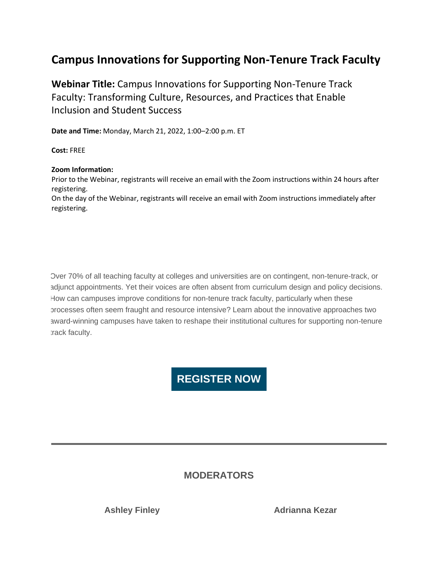# **Campus Innovations for Supporting Non-Tenure Track Faculty**

**Webinar Title:** Campus Innovations for Supporting Non-Tenure Track Faculty: Transforming Culture, Resources, and Practices that Enable Inclusion and Student Success

**Date and Time:** Monday, March 21, 2022, 1:00–2:00 p.m. ET

**Cost:** FREE

#### **Zoom Information:**

Prior to the Webinar, registrants will receive an email with the Zoom instructions within 24 hours after registering.

On the day of the Webinar, registrants will receive an email with Zoom instructions immediately after registering.

Over 70% of all teaching faculty at colleges and universities are on contingent, non-tenure-track, or adjunct appointments. Yet their voices are often absent from curriculum design and policy decisions. How can campuses improve conditions for non-tenure track faculty, particularly when these processes often seem fraught and resource intensive? Learn about the innovative approaches two award-winning campuses have taken to reshape their institutional cultures for supporting non-tenure track faculty.

# **[REGISTER NOW](https://nam10.safelinks.protection.outlook.com/?url=http%3A%2F%2Faacu.informz.net%2Fz%2FcjUucD9taT0yNDQ3Njg1JnA9MSZ1PTUxODc2MTc1MiZsaT0yNDQxNjIzOQ%2Findex.html&data=04%7C01%7CFSU%40umb.edu%7Ce7b7c4cad5584b55e5e408da06953e71%7Cb97188711ee94425953c1ace1373eb38%7C0%7C0%7C637829535324757230%7CUnknown%7CTWFpbGZsb3d8eyJWIjoiMC4wLjAwMDAiLCJQIjoiV2luMzIiLCJBTiI6Ik1haWwiLCJXVCI6Mn0%3D%7C3000&sdata=%2FgYplZ8QQCDOhYPshqfNw7s0jUA9ePpZrmORS2EdVHQ%3D&reserved=0)**

## **MODERATORS**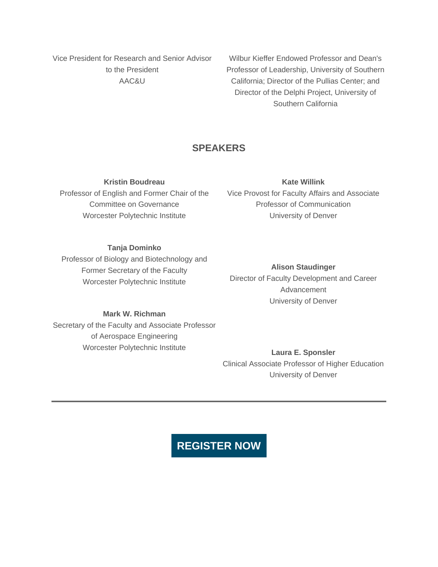Vice President for Research and Senior Advisor to the President AAC&U

Wilbur Kieffer Endowed Professor and Dean's Professor of Leadership, University of Southern California; Director of the Pullias Center; and Director of the Delphi Project, University of Southern California

## **SPEAKERS**

**Kristin Boudreau**

Professor of English and Former Chair of the Committee on Governance Worcester Polytechnic Institute

**Kate Willink**

Vice Provost for Faculty Affairs and Associate Professor of Communication University of Denver

### **Tanja Dominko**

Professor of Biology and Biotechnology and Former Secretary of the Faculty Worcester Polytechnic Institute

**Alison Staudinger** Director of Faculty Development and Career Advancement University of Denver

#### **Mark W. Richman**

Secretary of the Faculty and Associate Professor of Aerospace Engineering Worcester Polytechnic Institute

**Laura E. Sponsler** Clinical Associate Professor of Higher Education University of Denver

## **[REGISTER NOW](https://nam10.safelinks.protection.outlook.com/?url=http%3A%2F%2Faacu.informz.net%2Fz%2FcjUucD9taT0yNDQ3Njg1JnA9MSZ1PTUxODc2MTc1MiZsaT0yNDQxNjIzOQ%2Findex.html&data=04%7C01%7CFSU%40umb.edu%7Ce7b7c4cad5584b55e5e408da06953e71%7Cb97188711ee94425953c1ace1373eb38%7C0%7C0%7C637829535324757230%7CUnknown%7CTWFpbGZsb3d8eyJWIjoiMC4wLjAwMDAiLCJQIjoiV2luMzIiLCJBTiI6Ik1haWwiLCJXVCI6Mn0%3D%7C3000&sdata=%2FgYplZ8QQCDOhYPshqfNw7s0jUA9ePpZrmORS2EdVHQ%3D&reserved=0)**